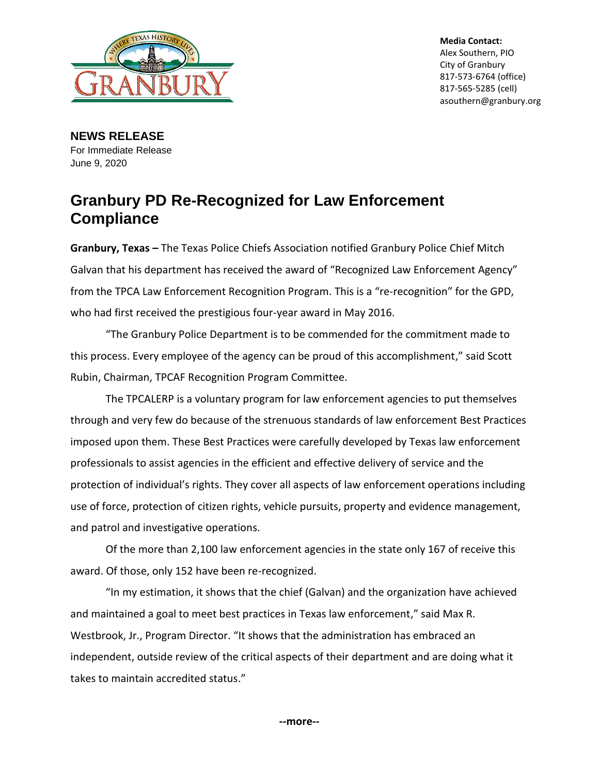

**Media Contact:** Alex Southern, PIO City of Granbury 817-573-6764 (office) 817-565-5285 (cell) asouthern@granbury.org

**NEWS RELEASE** For Immediate Release June 9, 2020

## **Granbury PD Re-Recognized for Law Enforcement Compliance**

**Granbury, Texas –** The Texas Police Chiefs Association notified Granbury Police Chief Mitch Galvan that his department has received the award of "Recognized Law Enforcement Agency" from the TPCA Law Enforcement Recognition Program. This is a "re-recognition" for the GPD, who had first received the prestigious four-year award in May 2016.

"The Granbury Police Department is to be commended for the commitment made to this process. Every employee of the agency can be proud of this accomplishment," said Scott Rubin, Chairman, TPCAF Recognition Program Committee.

The TPCALERP is a voluntary program for law enforcement agencies to put themselves through and very few do because of the strenuous standards of law enforcement Best Practices imposed upon them. These Best Practices were carefully developed by Texas law enforcement professionals to assist agencies in the efficient and effective delivery of service and the protection of individual's rights. They cover all aspects of law enforcement operations including use of force, protection of citizen rights, vehicle pursuits, property and evidence management, and patrol and investigative operations.

Of the more than 2,100 law enforcement agencies in the state only 167 of receive this award. Of those, only 152 have been re-recognized.

"In my estimation, it shows that the chief (Galvan) and the organization have achieved and maintained a goal to meet best practices in Texas law enforcement," said Max R. Westbrook, Jr., Program Director. "It shows that the administration has embraced an independent, outside review of the critical aspects of their department and are doing what it takes to maintain accredited status."